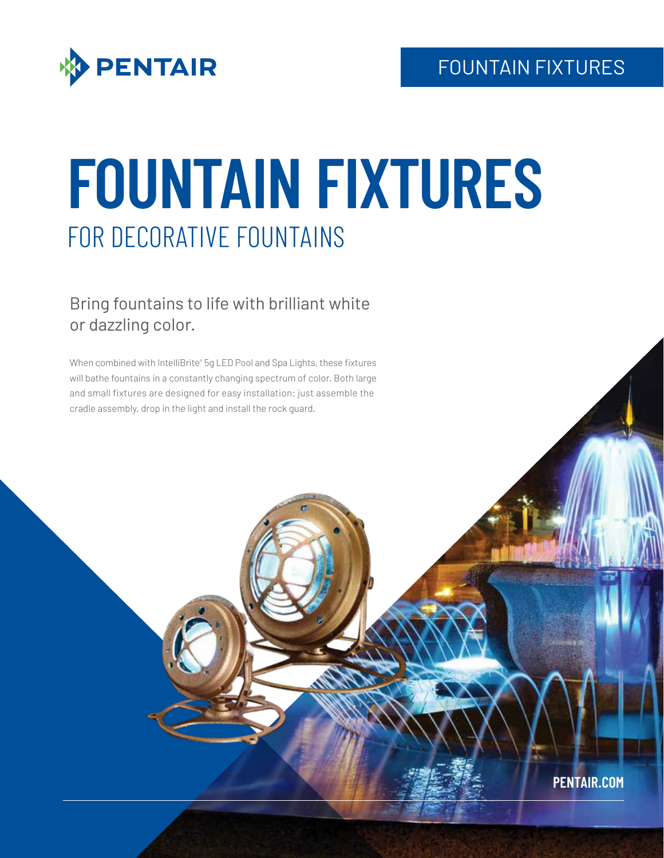



# **FOUNTAIN FIXTURES** FOR DECORATIVE FOUNTAINS

# Bring fountains to life with brilliant white or dazzling color.

When combined with IntelliBrite® 5g LED Pool and Spa Lights, these fixtures will bathe fountains in a constantly changing spectrum of color. Both large and small fixtures are designed for easy installation; just assemble the cradle assembly, drop in the light and install the rock guard.

**PENTAIR.COM**